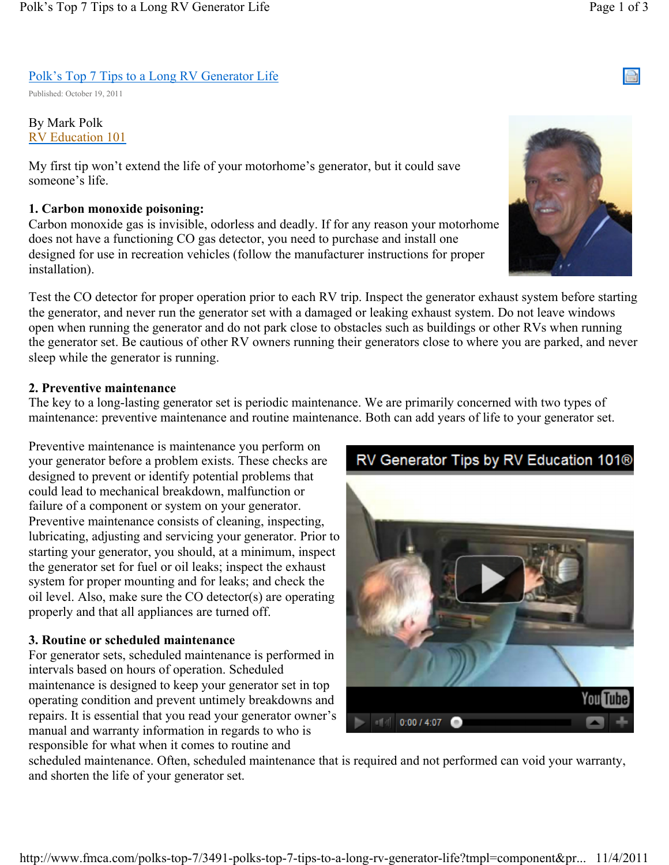# Polk's Top 7 Tips to a Long RV Generator Life

Published: October 19, 2011

### By Mark Polk RV Education 101

My first tip won't extend the life of your motorhome's generator, but it could save someone's life.

### 1. Carbon monoxide poisoning:

Carbon monoxide gas is invisible, odorless and deadly. If for any reason your motorhome does not have a functioning CO gas detector, you need to purchase and install one designed for use in recreation vehicles (follow the manufacturer instructions for proper installation).



Test the CO detector for proper operation prior to each RV trip. Inspect the generator exhaust system before starting the generator, and never run the generator set with a damaged or leaking exhaust system. Do not leave windows open when running the generator and do not park close to obstacles such as buildings or other RVs when running the generator set. Be cautious of other RV owners running their generators close to where you are parked, and never sleep while the generator is running.

# 2. Preventive maintenance

The key to a long-lasting generator set is periodic maintenance. We are primarily concerned with two types of maintenance: preventive maintenance and routine maintenance. Both can add years of life to your generator set.

Preventive maintenance is maintenance you perform on your generator before a problem exists. These checks are designed to prevent or identify potential problems that could lead to mechanical breakdown, malfunction or failure of a component or system on your generator. Preventive maintenance consists of cleaning, inspecting, lubricating, adjusting and servicing your generator. Prior to starting your generator, you should, at a minimum, inspect the generator set for fuel or oil leaks; inspect the exhaust system for proper mounting and for leaks; and check the oil level. Also, make sure the CO detector(s) are operating properly and that all appliances are turned off.

# 3. Routine or scheduled maintenance

For generator sets, scheduled maintenance is performed in intervals based on hours of operation. Scheduled maintenance is designed to keep your generator set in top operating condition and prevent untimely breakdowns and repairs. It is essential that you read your generator owner's manual and warranty information in regards to who is responsible for what when it comes to routine and



scheduled maintenance. Often, scheduled maintenance that is required and not performed can void your warranty, and shorten the life of your generator set.

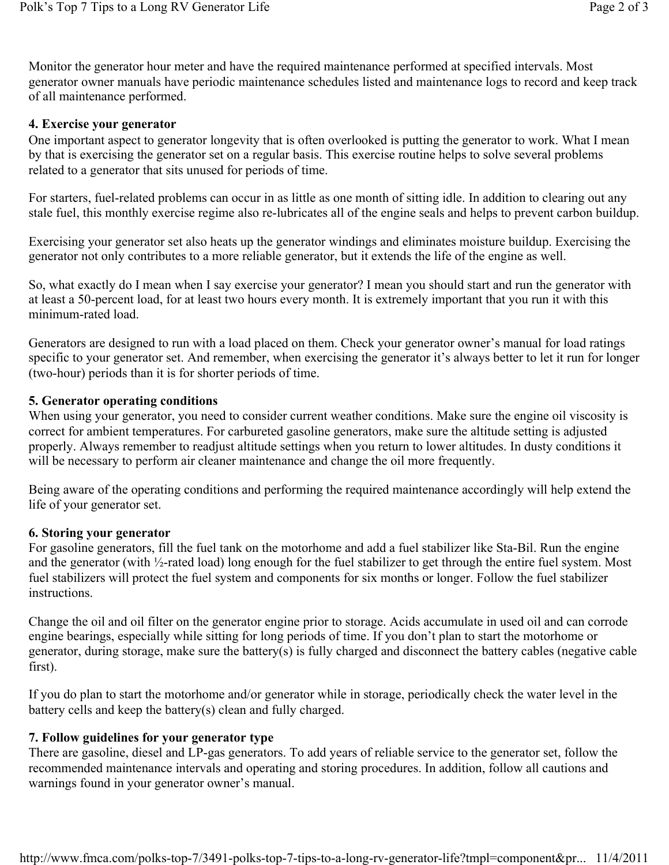Monitor the generator hour meter and have the required maintenance performed at specified intervals. Most generator owner manuals have periodic maintenance schedules listed and maintenance logs to record and keep track of all maintenance performed.

#### 4. Exercise your generator

One important aspect to generator longevity that is often overlooked is putting the generator to work. What I mean by that is exercising the generator set on a regular basis. This exercise routine helps to solve several problems related to a generator that sits unused for periods of time.

For starters, fuel-related problems can occur in as little as one month of sitting idle. In addition to clearing out any stale fuel, this monthly exercise regime also re-lubricates all of the engine seals and helps to prevent carbon buildup.

Exercising your generator set also heats up the generator windings and eliminates moisture buildup. Exercising the generator not only contributes to a more reliable generator, but it extends the life of the engine as well.

So, what exactly do I mean when I say exercise your generator? I mean you should start and run the generator with at least a 50-percent load, for at least two hours every month. It is extremely important that you run it with this minimum-rated load.

Generators are designed to run with a load placed on them. Check your generator owner's manual for load ratings specific to your generator set. And remember, when exercising the generator it's always better to let it run for longer (two-hour) periods than it is for shorter periods of time.

#### 5. Generator operating conditions

When using your generator, you need to consider current weather conditions. Make sure the engine oil viscosity is correct for ambient temperatures. For carbureted gasoline generators, make sure the altitude setting is adjusted properly. Always remember to readjust altitude settings when you return to lower altitudes. In dusty conditions it will be necessary to perform air cleaner maintenance and change the oil more frequently.

Being aware of the operating conditions and performing the required maintenance accordingly will help extend the life of your generator set.

#### 6. Storing your generator

For gasoline generators, fill the fuel tank on the motorhome and add a fuel stabilizer like Sta-Bil. Run the engine and the generator (with ½-rated load) long enough for the fuel stabilizer to get through the entire fuel system. Most fuel stabilizers will protect the fuel system and components for six months or longer. Follow the fuel stabilizer instructions.

Change the oil and oil filter on the generator engine prior to storage. Acids accumulate in used oil and can corrode engine bearings, especially while sitting for long periods of time. If you don't plan to start the motorhome or generator, during storage, make sure the battery(s) is fully charged and disconnect the battery cables (negative cable first).

If you do plan to start the motorhome and/or generator while in storage, periodically check the water level in the battery cells and keep the battery(s) clean and fully charged.

#### 7. Follow guidelines for your generator type

There are gasoline, diesel and LP-gas generators. To add years of reliable service to the generator set, follow the recommended maintenance intervals and operating and storing procedures. In addition, follow all cautions and warnings found in your generator owner's manual.